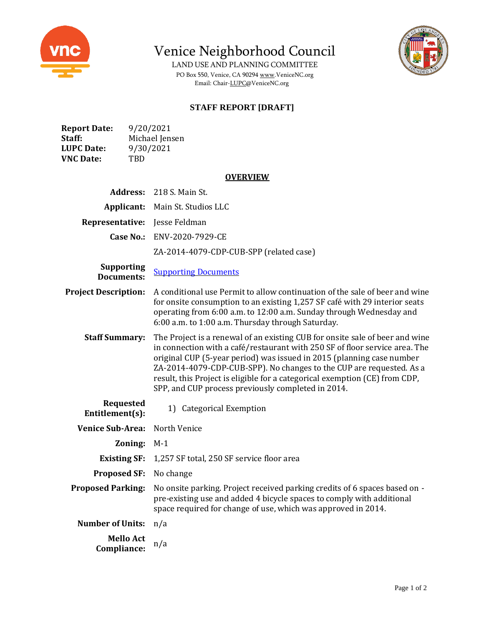

Venice Neighborhood Council

LAND USE AND PLANNING COMMITTEE PO Box 550, Venice, CA 9029[4 www.VeniceNC.org](http://www.venicenc.org/) Email: Chair[-LUPC@VeniceNC.org](mailto:LUPC@VeniceNC.org)



# **STAFF REPORT [DRAFT]**

| <b>Report Date:</b> | 9/20/2021      |
|---------------------|----------------|
| Staff:              | Michael Jensen |
| <b>LUPC Date:</b>   | 9/30/2021      |
| <b>VNC Date:</b>    | TBD            |

### **OVERVIEW**

| <b>Address:</b>                        | 218 S. Main St.                                                                                                                                                                                                                                                                                                                                                                                                                                   |
|----------------------------------------|---------------------------------------------------------------------------------------------------------------------------------------------------------------------------------------------------------------------------------------------------------------------------------------------------------------------------------------------------------------------------------------------------------------------------------------------------|
| Applicant:                             | Main St. Studios LLC                                                                                                                                                                                                                                                                                                                                                                                                                              |
| Representative:                        | Jesse Feldman                                                                                                                                                                                                                                                                                                                                                                                                                                     |
| <b>Case No.:</b>                       | ENV-2020-7929-CE                                                                                                                                                                                                                                                                                                                                                                                                                                  |
|                                        | ZA-2014-4079-CDP-CUB-SPP (related case)                                                                                                                                                                                                                                                                                                                                                                                                           |
| <b>Supporting</b><br><b>Documents:</b> | <b>Supporting Documents</b>                                                                                                                                                                                                                                                                                                                                                                                                                       |
| <b>Project Description:</b>            | A conditional use Permit to allow continuation of the sale of beer and wine<br>for onsite consumption to an existing 1,257 SF café with 29 interior seats<br>operating from 6:00 a.m. to 12:00 a.m. Sunday through Wednesday and<br>6:00 a.m. to 1:00 a.m. Thursday through Saturday.                                                                                                                                                             |
| <b>Staff Summary:</b>                  | The Project is a renewal of an existing CUB for onsite sale of beer and wine<br>in connection with a café/restaurant with 250 SF of floor service area. The<br>original CUP (5-year period) was issued in 2015 (planning case number<br>ZA-2014-4079-CDP-CUB-SPP). No changes to the CUP are requested. As a<br>result, this Project is eligible for a categorical exemption (CE) from CDP,<br>SPP, and CUP process previously completed in 2014. |
| <b>Requested</b><br>Entitlement(s):    | Categorical Exemption<br>1)                                                                                                                                                                                                                                                                                                                                                                                                                       |
| <b>Venice Sub-Area:</b>                | North Venice                                                                                                                                                                                                                                                                                                                                                                                                                                      |
| Zoning:                                | $M-1$                                                                                                                                                                                                                                                                                                                                                                                                                                             |
| <b>Existing SF:</b>                    | 1,257 SF total, 250 SF service floor area                                                                                                                                                                                                                                                                                                                                                                                                         |
| <b>Proposed SF:</b>                    | No change                                                                                                                                                                                                                                                                                                                                                                                                                                         |
| <b>Proposed Parking:</b>               | No onsite parking. Project received parking credits of 6 spaces based on -<br>pre-existing use and added 4 bicycle spaces to comply with additional<br>space required for change of use, which was approved in 2014.                                                                                                                                                                                                                              |
| <b>Number of Units:</b>                | n/a                                                                                                                                                                                                                                                                                                                                                                                                                                               |
| <b>Mello Act</b><br>Compliance:        | n/a                                                                                                                                                                                                                                                                                                                                                                                                                                               |